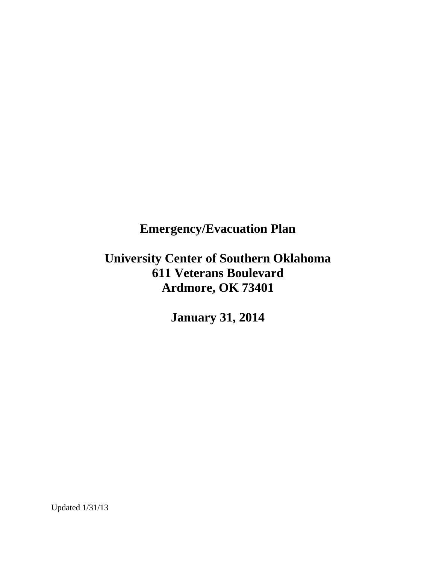# **Emergency/Evacuation Plan**

# **University Center of Southern Oklahoma 611 Veterans Boulevard Ardmore, OK 73401**

**January 31, 2014**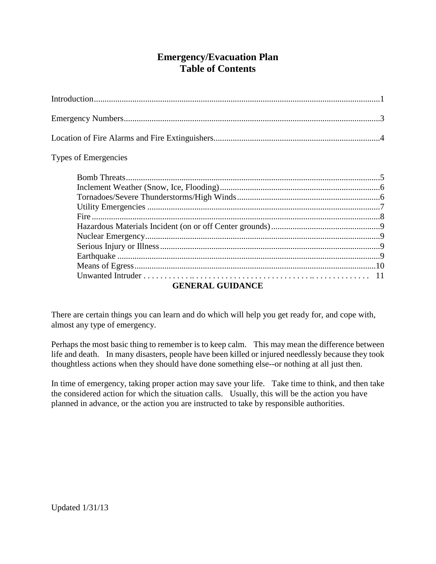# **Emergency/Evacuation Plan Table of Contents**

### Types of Emergencies

| <b>CEMED AT CHID AMORE</b> |  |  |
|----------------------------|--|--|

## **GENERAL GUIDANCE**

There are certain things you can learn and do which will help you get ready for, and cope with, almost any type of emergency.

Perhaps the most basic thing to remember is to keep calm. This may mean the difference between life and death. In many disasters, people have been killed or injured needlessly because they took thoughtless actions when they should have done something else--or nothing at all just then.

In time of emergency, taking proper action may save your life. Take time to think, and then take the considered action for which the situation calls. Usually, this will be the action you have planned in advance, or the action you are instructed to take by responsible authorities.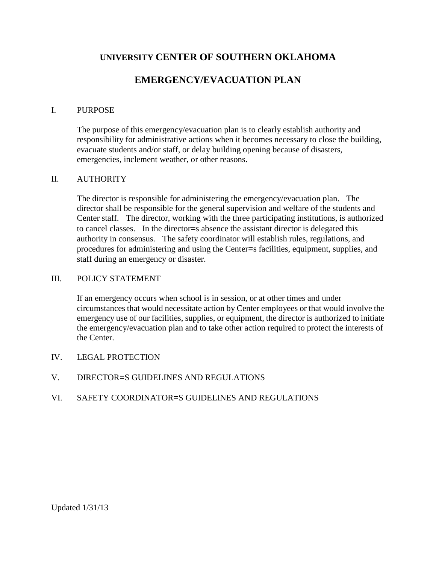## **UNIVERSITY CENTER OF SOUTHERN OKLAHOMA**

# **EMERGENCY/EVACUATION PLAN**

#### I. PURPOSE

The purpose of this emergency/evacuation plan is to clearly establish authority and responsibility for administrative actions when it becomes necessary to close the building, evacuate students and/or staff, or delay building opening because of disasters, emergencies, inclement weather, or other reasons.

#### II. AUTHORITY

The director is responsible for administering the emergency/evacuation plan. The director shall be responsible for the general supervision and welfare of the students and Center staff. The director, working with the three participating institutions, is authorized to cancel classes. In the director=s absence the assistant director is delegated this authority in consensus. The safety coordinator will establish rules, regulations, and procedures for administering and using the Center=s facilities, equipment, supplies, and staff during an emergency or disaster.

#### III. POLICY STATEMENT

If an emergency occurs when school is in session, or at other times and under circumstances that would necessitate action by Center employees or that would involve the emergency use of our facilities, supplies, or equipment, the director is authorized to initiate the emergency/evacuation plan and to take other action required to protect the interests of the Center.

- IV. LEGAL PROTECTION
- V. DIRECTOR=S GUIDELINES AND REGULATIONS
- VI. SAFETY COORDINATOR=S GUIDELINES AND REGULATIONS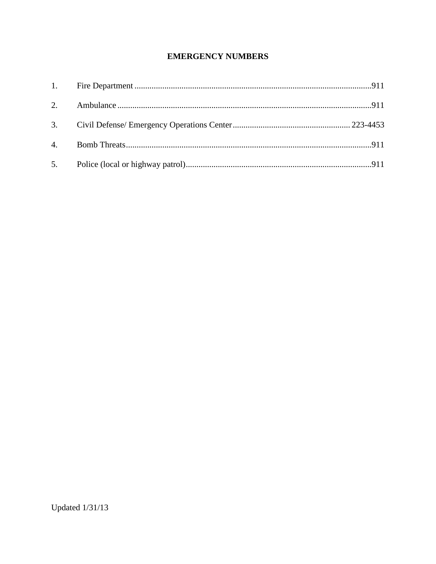## **EMERGENCY NUMBERS**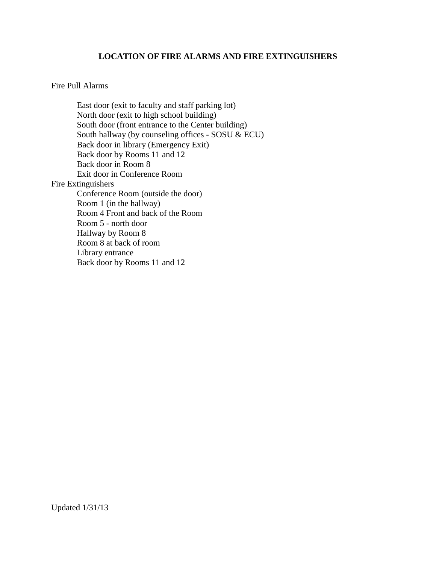#### **LOCATION OF FIRE ALARMS AND FIRE EXTINGUISHERS**

#### Fire Pull Alarms

East door (exit to faculty and staff parking lot) North door (exit to high school building) South door (front entrance to the Center building) South hallway (by counseling offices - SOSU  $\&$  ECU) Back door in library (Emergency Exit) Back door by Rooms 11 and 12 Back door in Room 8 Exit door in Conference Room Fire Extinguishers Conference Room (outside the door) Room 1 (in the hallway) Room 4 Front and back of the Room Room 5 - north door Hallway by Room 8 Room 8 at back of room Library entrance Back door by Rooms 11 and 12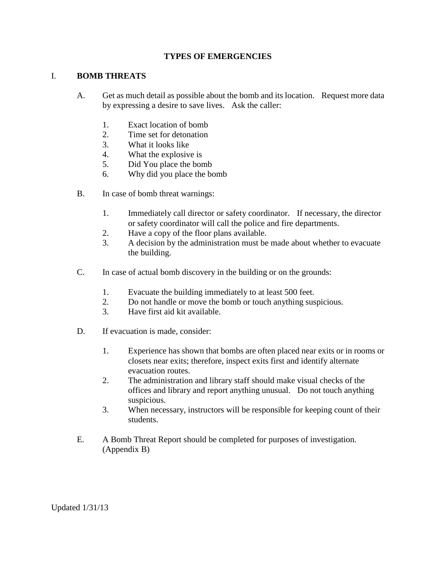#### **TYPES OF EMERGENCIES**

#### I. **BOMB THREATS**

- A. Get as much detail as possible about the bomb and its location. Request more data by expressing a desire to save lives. Ask the caller:
	- 1. Exact location of bomb
	- 2. Time set for detonation
	- 3. What it looks like
	- 4. What the explosive is
	- 5. Did You place the bomb
	- 6. Why did you place the bomb
- B. In case of bomb threat warnings:
	- 1. Immediately call director or safety coordinator. If necessary, the director or safety coordinator will call the police and fire departments.
	- 2. Have a copy of the floor plans available.
	- 3. A decision by the administration must be made about whether to evacuate the building.
- C. In case of actual bomb discovery in the building or on the grounds:
	- 1. Evacuate the building immediately to at least 500 feet.
	- 2. Do not handle or move the bomb or touch anything suspicious.
	- 3. Have first aid kit available.
- D. If evacuation is made, consider:
	- 1. Experience has shown that bombs are often placed near exits or in rooms or closets near exits; therefore, inspect exits first and identify alternate evacuation routes.
	- 2. The administration and library staff should make visual checks of the offices and library and report anything unusual. Do not touch anything suspicious.
	- 3. When necessary, instructors will be responsible for keeping count of their students.
- E. A Bomb Threat Report should be completed for purposes of investigation. (Appendix B)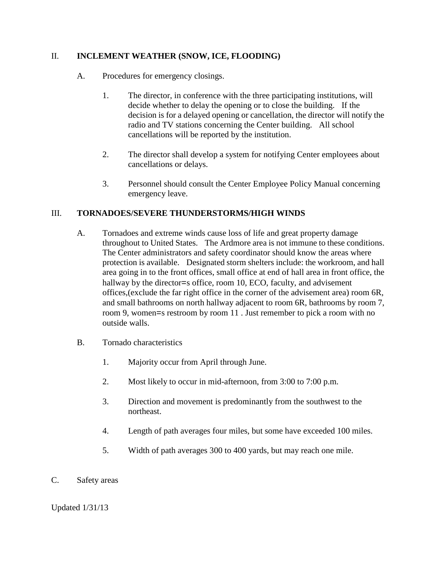#### II. **INCLEMENT WEATHER (SNOW, ICE, FLOODING)**

- A. Procedures for emergency closings.
	- 1. The director, in conference with the three participating institutions, will decide whether to delay the opening or to close the building. If the decision is for a delayed opening or cancellation, the director will notify the radio and TV stations concerning the Center building. All school cancellations will be reported by the institution.
	- 2. The director shall develop a system for notifying Center employees about cancellations or delays.
	- 3. Personnel should consult the Center Employee Policy Manual concerning emergency leave.

### III. **TORNADOES/SEVERE THUNDERSTORMS/HIGH WINDS**

- A. Tornadoes and extreme winds cause loss of life and great property damage throughout to United States. The Ardmore area is not immune to these conditions. The Center administrators and safety coordinator should know the areas where protection is available. Designated storm shelters include: the workroom, and hall area going in to the front offices, small office at end of hall area in front office, the hallway by the director=s office, room 10, ECO, faculty, and advisement offices,(exclude the far right office in the corner of the advisement area) room 6R, and small bathrooms on north hallway adjacent to room 6R, bathrooms by room 7, room 9, women=s restroom by room 11 . Just remember to pick a room with no outside walls.
- B. Tornado characteristics
	- 1. Majority occur from April through June.
	- 2. Most likely to occur in mid-afternoon, from 3:00 to 7:00 p.m.
	- 3. Direction and movement is predominantly from the southwest to the northeast.
	- 4. Length of path averages four miles, but some have exceeded 100 miles.
	- 5. Width of path averages 300 to 400 yards, but may reach one mile.
- C. Safety areas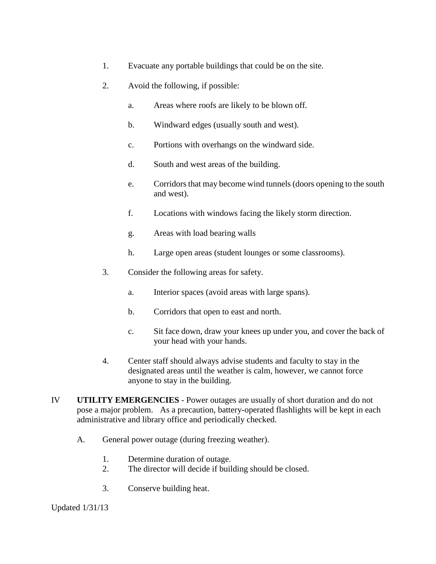- 1. Evacuate any portable buildings that could be on the site.
- 2. Avoid the following, if possible:
	- a. Areas where roofs are likely to be blown off.
	- b. Windward edges (usually south and west).
	- c. Portions with overhangs on the windward side.
	- d. South and west areas of the building.
	- e. Corridors that may become wind tunnels (doors opening to the south and west).
	- f. Locations with windows facing the likely storm direction.
	- g. Areas with load bearing walls
	- h. Large open areas (student lounges or some classrooms).
- 3. Consider the following areas for safety.
	- a. Interior spaces (avoid areas with large spans).
	- b. Corridors that open to east and north.
	- c. Sit face down, draw your knees up under you, and cover the back of your head with your hands.
- 4. Center staff should always advise students and faculty to stay in the designated areas until the weather is calm, however, we cannot force anyone to stay in the building.
- IV **UTILITY EMERGENCIES** Power outages are usually of short duration and do not pose a major problem. As a precaution, battery-operated flashlights will be kept in each administrative and library office and periodically checked.
	- A. General power outage (during freezing weather).
		- 1. Determine duration of outage.
		- 2. The director will decide if building should be closed.
		- 3. Conserve building heat.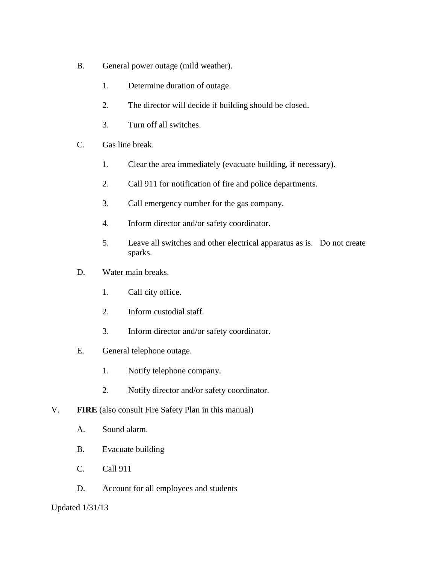- B. General power outage (mild weather).
	- 1. Determine duration of outage.
	- 2. The director will decide if building should be closed.
	- 3. Turn off all switches.
- C. Gas line break.
	- 1. Clear the area immediately (evacuate building, if necessary).
	- 2. Call 911 for notification of fire and police departments.
	- 3. Call emergency number for the gas company.
	- 4. Inform director and/or safety coordinator.
	- 5. Leave all switches and other electrical apparatus as is. Do not create sparks.
- D. Water main breaks.
	- 1. Call city office.
	- 2. Inform custodial staff.
	- 3. Inform director and/or safety coordinator.
- E. General telephone outage.
	- 1. Notify telephone company.
	- 2. Notify director and/or safety coordinator.
- V. **FIRE** (also consult Fire Safety Plan in this manual)
	- A. Sound alarm.
	- B. Evacuate building
	- C. Call 911
	- D. Account for all employees and students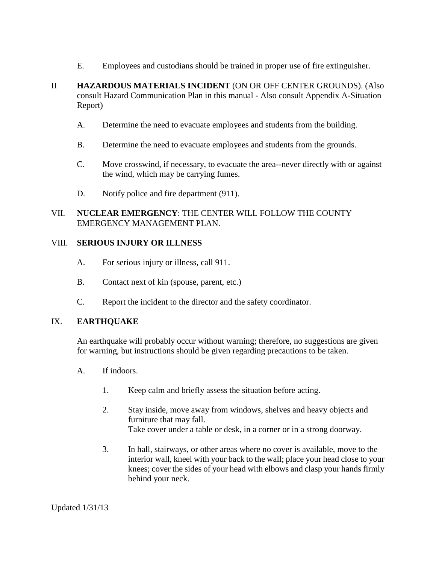- E. Employees and custodians should be trained in proper use of fire extinguisher.
- II **HAZARDOUS MATERIALS INCIDENT** (ON OR OFF CENTER GROUNDS). (Also consult Hazard Communication Plan in this manual - Also consult Appendix A-Situation Report)
	- A. Determine the need to evacuate employees and students from the building.
	- B. Determine the need to evacuate employees and students from the grounds.
	- C. Move crosswind, if necessary, to evacuate the area--never directly with or against the wind, which may be carrying fumes.
	- D. Notify police and fire department (911).

### VII. **NUCLEAR EMERGENCY**: THE CENTER WILL FOLLOW THE COUNTY EMERGENCY MANAGEMENT PLAN.

#### VIII. **SERIOUS INJURY OR ILLNESS**

- A. For serious injury or illness, call 911.
- B. Contact next of kin (spouse, parent, etc.)
- C. Report the incident to the director and the safety coordinator.

### IX. **EARTHQUAKE**

An earthquake will probably occur without warning; therefore, no suggestions are given for warning, but instructions should be given regarding precautions to be taken.

- A. If indoors.
	- 1. Keep calm and briefly assess the situation before acting.
	- 2. Stay inside, move away from windows, shelves and heavy objects and furniture that may fall. Take cover under a table or desk, in a corner or in a strong doorway.
	- 3. In hall, stairways, or other areas where no cover is available, move to the interior wall, kneel with your back to the wall; place your head close to your knees; cover the sides of your head with elbows and clasp your hands firmly behind your neck.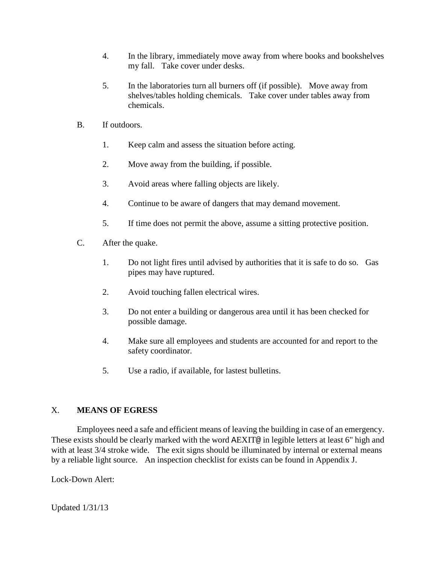- 4. In the library, immediately move away from where books and bookshelves my fall. Take cover under desks.
- 5. In the laboratories turn all burners off (if possible). Move away from shelves/tables holding chemicals. Take cover under tables away from chemicals.
- B. If outdoors.
	- 1. Keep calm and assess the situation before acting.
	- 2. Move away from the building, if possible.
	- 3. Avoid areas where falling objects are likely.
	- 4. Continue to be aware of dangers that may demand movement.
	- 5. If time does not permit the above, assume a sitting protective position.
- C. After the quake.
	- 1. Do not light fires until advised by authorities that it is safe to do so. Gas pipes may have ruptured.
	- 2. Avoid touching fallen electrical wires.
	- 3. Do not enter a building or dangerous area until it has been checked for possible damage.
	- 4. Make sure all employees and students are accounted for and report to the safety coordinator.
	- 5. Use a radio, if available, for lastest bulletins.

## X. **MEANS OF EGRESS**

Employees need a safe and efficient means of leaving the building in case of an emergency. These exists should be clearly marked with the word AEXIT@ in legible letters at least 6" high and with at least 3/4 stroke wide. The exit signs should be illuminated by internal or external means by a reliable light source. An inspection checklist for exists can be found in Appendix J.

Lock-Down Alert: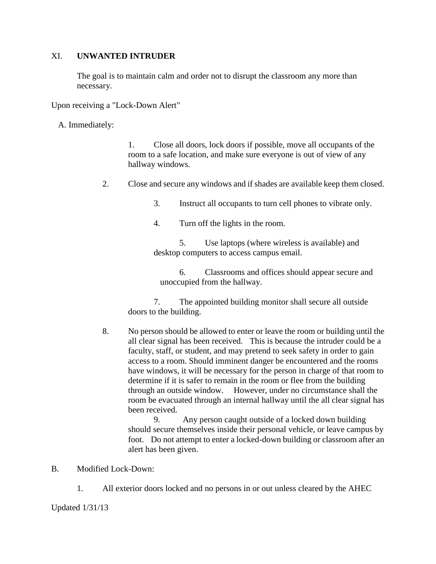#### XI. **UNWANTED INTRUDER**

The goal is to maintain calm and order not to disrupt the classroom any more than necessary.

Upon receiving a "Lock-Down Alert"

A. Immediately:

1. Close all doors, lock doors if possible, move all occupants of the room to a safe location, and make sure everyone is out of view of any hallway windows.

- 2. Close and secure any windows and if shades are available keep them closed.
	- 3. Instruct all occupants to turn cell phones to vibrate only.
	- 4. Turn off the lights in the room.

 5. Use laptops (where wireless is available) and desktop computers to access campus email.

 6. Classrooms and offices should appear secure and unoccupied from the hallway.

 7. The appointed building monitor shall secure all outside doors to the building.

8. No person should be allowed to enter or leave the room or building until the all clear signal has been received. This is because the intruder could be a faculty, staff, or student, and may pretend to seek safety in order to gain access to a room. Should imminent danger be encountered and the rooms have windows, it will be necessary for the person in charge of that room to determine if it is safer to remain in the room or flee from the building through an outside window. However, under no circumstance shall the room be evacuated through an internal hallway until the all clear signal has been received.

 9. Any person caught outside of a locked down building should secure themselves inside their personal vehicle, or leave campus by foot. Do not attempt to enter a locked-down building or classroom after an alert has been given.

- B. Modified Lock-Down:
	- 1. All exterior doors locked and no persons in or out unless cleared by the AHEC